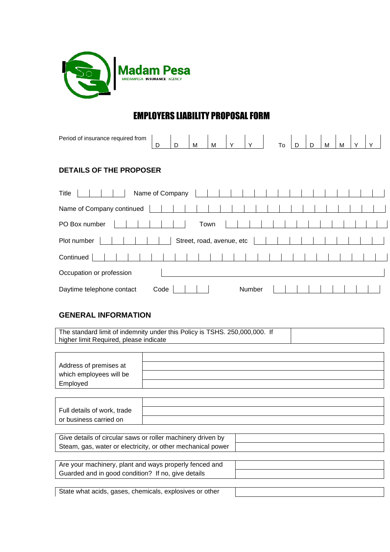

# EMPLOYERS LIABILITY PROPOSAL FORM

| Period of insurance required from | D    | D | M    | M                         | $\mathsf{Y}$ | $\vert$ Y_ | To | D | D | M | M | $\checkmark$ |  |
|-----------------------------------|------|---|------|---------------------------|--------------|------------|----|---|---|---|---|--------------|--|
| <b>DETAILS OF THE PROPOSER</b>    |      |   |      |                           |              |            |    |   |   |   |   |              |  |
| Name of Company<br>Title          |      |   |      |                           |              |            |    |   |   |   |   |              |  |
| Name of Company continued         |      |   |      |                           |              |            |    |   |   |   |   |              |  |
| PO Box number                     |      |   | Town |                           |              |            |    |   |   |   |   |              |  |
| Plot number                       |      |   |      | Street, road, avenue, etc |              |            |    |   |   |   |   |              |  |
| Continued                         |      |   |      |                           |              |            |    |   |   |   |   |              |  |
| Occupation or profession          |      |   |      |                           |              |            |    |   |   |   |   |              |  |
| Daytime telephone contact         | Code |   |      |                           |              | Number     |    |   |   |   |   |              |  |

#### **GENERAL INFORMATION**

The standard limit of indemnity under this Policy is TSHS. 250,000,000. If higher limit Required, please indicate

| Address of premises at  |  |
|-------------------------|--|
| which employees will be |  |
| Employed                |  |

| Full details of work, trade |  |
|-----------------------------|--|
| or business carried on      |  |

| Give details of circular saws or roller machinery driven by |  |
|-------------------------------------------------------------|--|
| Steam, gas, water or electricity, or other mechanical power |  |

| Are your machinery, plant and ways properly fenced and |  |
|--------------------------------------------------------|--|
| Guarded and in good condition? If no, give details     |  |

State what acids, gases, chemicals, explosives or other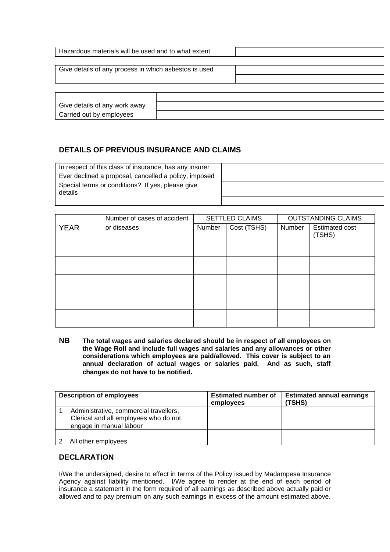| Hazardous materials will be used and to what extent       |  |
|-----------------------------------------------------------|--|
| Give details of any process in which asbestos is used     |  |
|                                                           |  |
| Give details of any work away<br>Carried out by employees |  |

## **DETAILS OF PREVIOUS INSURANCE AND CLAIMS**

| In respect of this class of insurance, has any insurer |  |
|--------------------------------------------------------|--|
| Ever declined a proposal, cancelled a policy, imposed  |  |
| Special terms or conditions? If yes, please give       |  |
| details                                                |  |
|                                                        |  |

|             | Number of cases of accident |        | <b>SETTLED CLAIMS</b> | <b>OUTSTANDING CLAIMS</b> |                                 |  |
|-------------|-----------------------------|--------|-----------------------|---------------------------|---------------------------------|--|
| <b>YEAR</b> | or diseases                 | Number | Cost (TSHS)           | Number                    | <b>Estimated cost</b><br>(TSHS) |  |
|             |                             |        |                       |                           |                                 |  |
|             |                             |        |                       |                           |                                 |  |
|             |                             |        |                       |                           |                                 |  |
|             |                             |        |                       |                           |                                 |  |
|             |                             |        |                       |                           |                                 |  |

**NB The total wages and salaries declared should be in respect of all employees on the Wage Roll and include full wages and salaries and any allowances or other considerations which employees are paid/allowed. This cover is subject to an annual declaration of actual wages or salaries paid. And as such, staff changes do not have to be notified.**

| <b>Description of employees</b>                                                                            | <b>Estimated number of</b><br>employees | <b>Estimated annual earnings</b><br>(TSHS) |
|------------------------------------------------------------------------------------------------------------|-----------------------------------------|--------------------------------------------|
| Administrative, commercial travellers,<br>Clerical and all employees who do not<br>engage in manual labour |                                         |                                            |
| All other employees                                                                                        |                                         |                                            |

#### **DECLARATION**

I/We the undersigned, desire to effect in terms of the Policy issued by Madampesa Insurance Agency against liability mentioned. I/We agree to render at the end of each period of insurance a statement in the form required of all earnings as described above actually paid or allowed and to pay premium on any such earnings in excess of the amount estimated above.